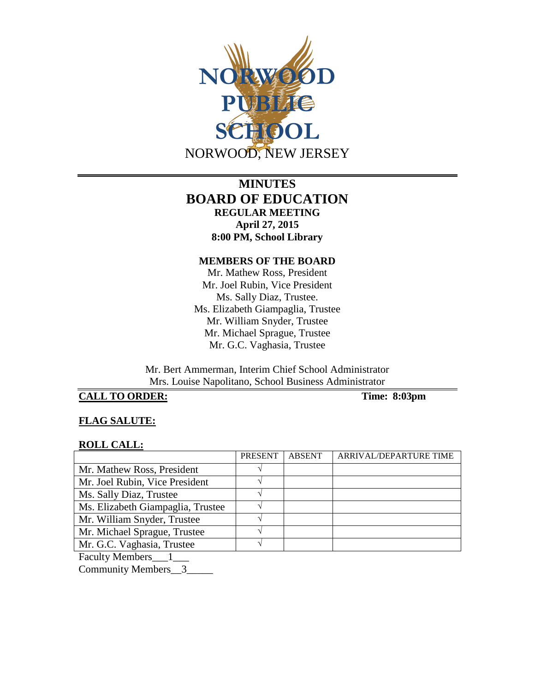

# **MINUTES BOARD OF EDUCATION REGULAR MEETING April 27, 2015 8:00 PM, School Library**

#### **MEMBERS OF THE BOARD**

Mr. Mathew Ross, President Mr. Joel Rubin, Vice President Ms. Sally Diaz, Trustee. Ms. Elizabeth Giampaglia, Trustee Mr. William Snyder, Trustee Mr. Michael Sprague, Trustee Mr. G.C. Vaghasia, Trustee

Mr. Bert Ammerman, Interim Chief School Administrator Mrs. Louise Napolitano, School Business Administrator

# **CALL TO ORDER: Time: 8:03pm**

## **FLAG SALUTE:**

#### **ROLL CALL:**

|                                   | <b>PRESENT</b> | <b>ABSENT</b> | ARRIVAL/DEPARTURE TIME |
|-----------------------------------|----------------|---------------|------------------------|
| Mr. Mathew Ross, President        |                |               |                        |
| Mr. Joel Rubin, Vice President    |                |               |                        |
| Ms. Sally Diaz, Trustee           |                |               |                        |
| Ms. Elizabeth Giampaglia, Trustee |                |               |                        |
| Mr. William Snyder, Trustee       |                |               |                        |
| Mr. Michael Sprague, Trustee      |                |               |                        |
| Mr. G.C. Vaghasia, Trustee        |                |               |                        |
|                                   |                |               |                        |

Faculty Members\_\_\_1\_\_\_

Community Members\_\_3\_\_\_\_\_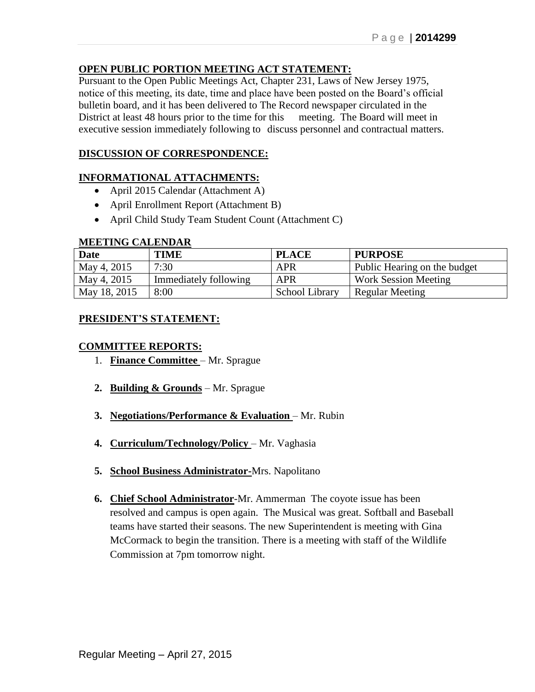## **OPEN PUBLIC PORTION MEETING ACT STATEMENT:**

Pursuant to the Open Public Meetings Act, Chapter 231, Laws of New Jersey 1975, notice of this meeting, its date, time and place have been posted on the Board's official bulletin board, and it has been delivered to The Record newspaper circulated in the District at least 48 hours prior to the time for this meeting. The Board will meet in executive session immediately following to discuss personnel and contractual matters.

## **DISCUSSION OF CORRESPONDENCE:**

### **INFORMATIONAL ATTACHMENTS:**

- April 2015 Calendar (Attachment A)
- April Enrollment Report (Attachment B)
- April Child Study Team Student Count (Attachment C)

#### **MEETING CALENDAR**

| <b>Date</b>  | <b>TIME</b>           | <b>PLACE</b>   | <b>PURPOSE</b>               |
|--------------|-----------------------|----------------|------------------------------|
| May 4, 2015  | 7:30                  | APR            | Public Hearing on the budget |
| May 4, 2015  | Immediately following | <b>APR</b>     | <b>Work Session Meeting</b>  |
| May 18, 2015 | 8:00                  | School Library | Regular Meeting              |

## **PRESIDENT'S STATEMENT:**

#### **COMMITTEE REPORTS:**

- 1. **Finance Committee** Mr. Sprague
- **2. Building & Grounds** Mr. Sprague
- **3. Negotiations/Performance & Evaluation** Mr. Rubin
- **4. Curriculum/Technology/Policy** Mr. Vaghasia
- **5. School Business Administrator-**Mrs. Napolitano
- **6. Chief School Administrator**-Mr. Ammerman The coyote issue has been resolved and campus is open again. The Musical was great. Softball and Baseball teams have started their seasons. The new Superintendent is meeting with Gina McCormack to begin the transition. There is a meeting with staff of the Wildlife Commission at 7pm tomorrow night.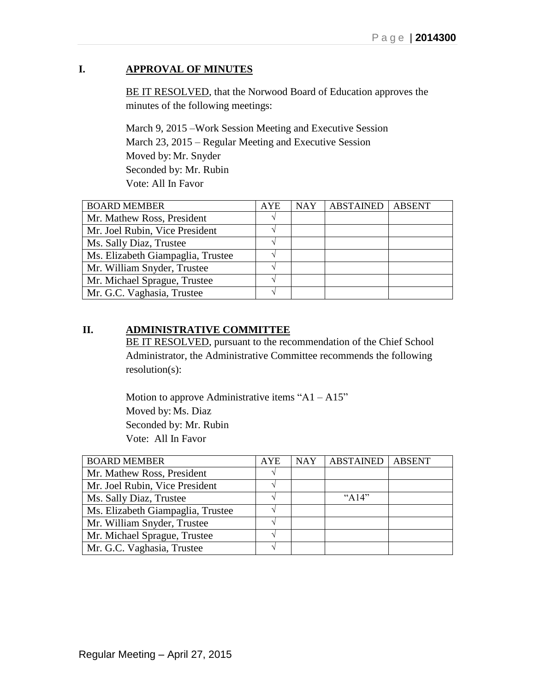# **I. APPROVAL OF MINUTES**

BE IT RESOLVED, that the Norwood Board of Education approves the minutes of the following meetings:

March 9, 2015 –Work Session Meeting and Executive Session March 23, 2015 – Regular Meeting and Executive Session Moved by: Mr. Snyder Seconded by: Mr. Rubin Vote: All In Favor

| <b>BOARD MEMBER</b>               | <b>AYE</b> | <b>NAY</b> | <b>ABSTAINED</b> | <b>ABSENT</b> |
|-----------------------------------|------------|------------|------------------|---------------|
| Mr. Mathew Ross, President        |            |            |                  |               |
| Mr. Joel Rubin, Vice President    |            |            |                  |               |
| Ms. Sally Diaz, Trustee           |            |            |                  |               |
| Ms. Elizabeth Giampaglia, Trustee |            |            |                  |               |
| Mr. William Snyder, Trustee       |            |            |                  |               |
| Mr. Michael Sprague, Trustee      |            |            |                  |               |
| Mr. G.C. Vaghasia, Trustee        |            |            |                  |               |

## **II. ADMINISTRATIVE COMMITTEE**

BE IT RESOLVED, pursuant to the recommendation of the Chief School Administrator, the Administrative Committee recommends the following resolution(s):

Motion to approve Administrative items "A1 – A15" Moved by: Ms. Diaz Seconded by: Mr. Rubin Vote: All In Favor

| <b>BOARD MEMBER</b>               | <b>AYE</b> | <b>NAY</b> | ABSTAINED | <b>ABSENT</b> |
|-----------------------------------|------------|------------|-----------|---------------|
| Mr. Mathew Ross, President        |            |            |           |               |
| Mr. Joel Rubin, Vice President    |            |            |           |               |
| Ms. Sally Diaz, Trustee           |            |            | " $A14"$  |               |
| Ms. Elizabeth Giampaglia, Trustee |            |            |           |               |
| Mr. William Snyder, Trustee       |            |            |           |               |
| Mr. Michael Sprague, Trustee      |            |            |           |               |
| Mr. G.C. Vaghasia, Trustee        |            |            |           |               |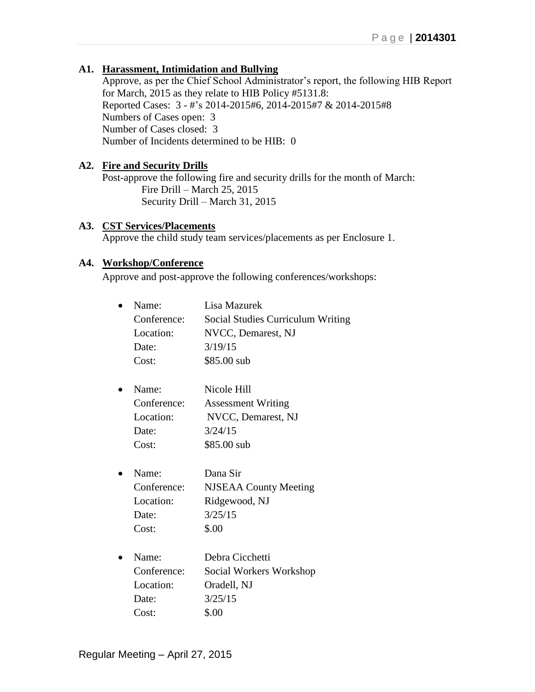## **A1. Harassment, Intimidation and Bullying**

Approve, as per the Chief School Administrator's report, the following HIB Report for March, 2015 as they relate to HIB Policy #5131.8: Reported Cases: 3 - #'s 2014-2015#6, 2014-2015#7 & 2014-2015#8 Numbers of Cases open: 3 Number of Cases closed: 3 Number of Incidents determined to be HIB: 0

#### **A2. Fire and Security Drills**

Post-approve the following fire and security drills for the month of March: Fire Drill – March 25, 2015 Security Drill – March 31, 2015

#### **A3. CST Services/Placements**

Approve the child study team services/placements as per Enclosure 1.

#### **A4. Workshop/Conference**

Approve and post-approve the following conferences/workshops:

| <b>Social Studies Curriculum Writing</b> |
|------------------------------------------|
|                                          |
|                                          |
|                                          |
|                                          |
|                                          |
|                                          |
|                                          |
|                                          |
|                                          |
|                                          |
|                                          |
|                                          |
|                                          |
|                                          |
|                                          |
|                                          |
|                                          |
|                                          |
|                                          |
|                                          |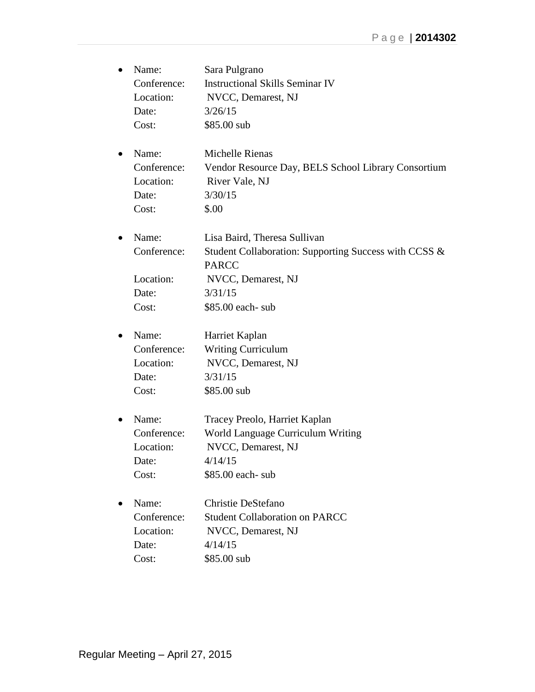| Name:       | Sara Pulgrano                                         |
|-------------|-------------------------------------------------------|
| Conference: | <b>Instructional Skills Seminar IV</b>                |
| Location:   | NVCC, Demarest, NJ                                    |
| Date:       | 3/26/15                                               |
| Cost:       | \$85.00 sub                                           |
| Name:       | Michelle Rienas                                       |
| Conference: | Vendor Resource Day, BELS School Library Consortium   |
| Location:   | River Vale, NJ                                        |
| Date:       | 3/30/15                                               |
| Cost:       | \$.00                                                 |
| Name:       | Lisa Baird, Theresa Sullivan                          |
| Conference: | Student Collaboration: Supporting Success with CCSS & |
|             | <b>PARCC</b>                                          |
| Location:   | NVCC, Demarest, NJ                                    |
| Date:       | 3/31/15                                               |
| Cost:       | \$85.00 each- sub                                     |
| Name:       | Harriet Kaplan                                        |
| Conference: | <b>Writing Curriculum</b>                             |
| Location:   | NVCC, Demarest, NJ                                    |
| Date:       | 3/31/15                                               |
| Cost:       | \$85.00 sub                                           |
| Name:       | Tracey Preolo, Harriet Kaplan                         |
| Conference: | World Language Curriculum Writing                     |
| Location:   | NVCC, Demarest, NJ                                    |
| Date:       | 4/14/15                                               |
| Cost:       | \$85.00 each- sub                                     |
| Name:       | Christie DeStefano                                    |
| Conference: | <b>Student Collaboration on PARCC</b>                 |
| Location:   | NVCC, Demarest, NJ                                    |
| Date:       | 4/14/15                                               |
| Cost:       | \$85.00 sub                                           |
|             |                                                       |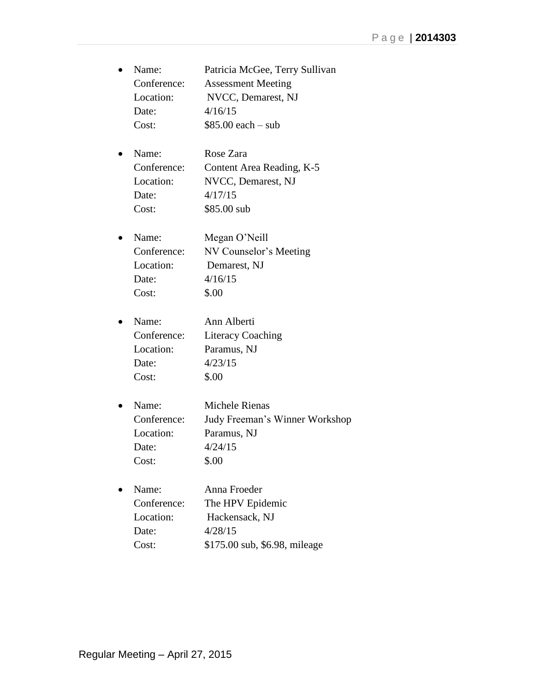| Name:       | Patricia McGee, Terry Sullivan |
|-------------|--------------------------------|
| Conference: | <b>Assessment Meeting</b>      |
| Location:   | NVCC, Demarest, NJ             |
| Date:       | 4/16/15                        |
| Cost:       | $$85.00$ each $-$ sub          |
|             |                                |

| $\bullet$ | Name:       | Rose Zara                 |
|-----------|-------------|---------------------------|
|           | Conference: | Content Area Reading, K-5 |
|           | Location:   | NVCC, Demarest, NJ        |
|           | Date:       | 4/17/15                   |
|           | Cost:       | \$85.00 sub               |
|           |             |                           |

| $\bullet$ | Name:       | Megan O'Neill          |
|-----------|-------------|------------------------|
|           | Conference: | NV Counselor's Meeting |
|           | Location:   | Demarest, NJ           |
|           | Date:       | 4/16/15                |
|           | Cost:       | \$.00                  |

| $\bullet$ | Name:       | Ann Alberti              |
|-----------|-------------|--------------------------|
|           | Conference: | <b>Literacy Coaching</b> |
|           | Location:   | Paramus, NJ              |
|           | Date:       | 4/23/15                  |
|           | Cost:       | \$.00                    |

 Name: Michele Rienas Conference: Judy Freeman's Winner Workshop Location: Paramus, NJ Date:  $4/24/15$ Cost: \$.00

| $\bullet$ | Name:       | Anna Froeder                  |
|-----------|-------------|-------------------------------|
|           | Conference: | The HPV Epidemic              |
|           | Location:   | Hackensack, NJ                |
|           | Date:       | 4/28/15                       |
|           | Cost:       | \$175.00 sub, \$6.98, mileage |
|           |             |                               |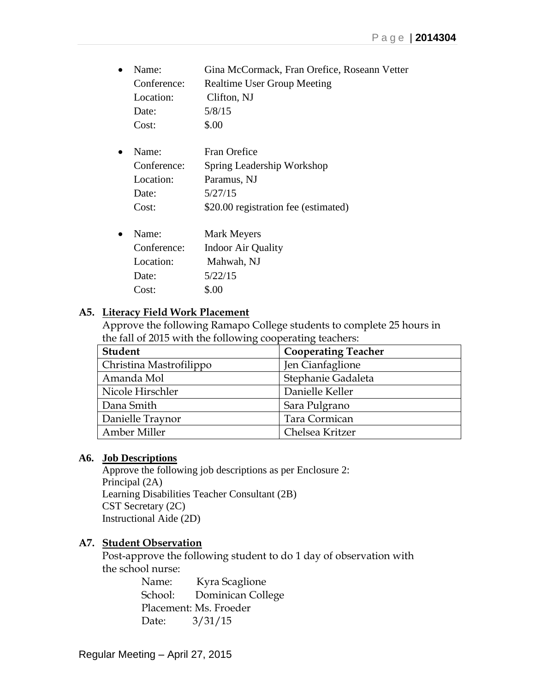| $\bullet$ | Name:       | Gina McCormack, Fran Orefice, Roseann Vetter |
|-----------|-------------|----------------------------------------------|
|           | Conference: | <b>Realtime User Group Meeting</b>           |
|           | Location:   | Clifton, NJ                                  |
|           | Date:       | 5/8/15                                       |
|           | Cost:       | \$.00                                        |

| $\bullet$ | Name:       | Fran Orefice                         |
|-----------|-------------|--------------------------------------|
|           | Conference: | Spring Leadership Workshop           |
|           | Location:   | Paramus, NJ                          |
|           | Date:       | 5/27/15                              |
|           | Cost:       | \$20.00 registration fee (estimated) |
|           |             |                                      |
|           | Name:       | Mark Meyers                          |

| Name:       | <b>Mark Meyers</b>        |
|-------------|---------------------------|
| Conference: | <b>Indoor Air Quality</b> |
| Location:   | Mahwah, NJ                |
| Date:       | 5/22/15                   |
| Cost:       | \$.00                     |

## **A5. Literacy Field Work Placement**

Approve the following Ramapo College students to complete 25 hours in the fall of 2015 with the following cooperating teachers:

| <b>Student</b>          | <b>Cooperating Teacher</b> |
|-------------------------|----------------------------|
| Christina Mastrofilippo | Jen Cianfaglione           |
| Amanda Mol              | Stephanie Gadaleta         |
| Nicole Hirschler        | Danielle Keller            |
| Dana Smith              | Sara Pulgrano              |
| Danielle Traynor        | Tara Cormican              |
| Amber Miller            | Chelsea Kritzer            |

## **A6. Job Descriptions**

Approve the following job descriptions as per Enclosure 2: Principal (2A) Learning Disabilities Teacher Consultant (2B) CST Secretary (2C) Instructional Aide (2D)

## **A7. Student Observation**

Post-approve the following student to do 1 day of observation with the school nurse:

> Name: Kyra Scaglione School: Dominican College Placement: Ms. Froeder Date: 3/31/15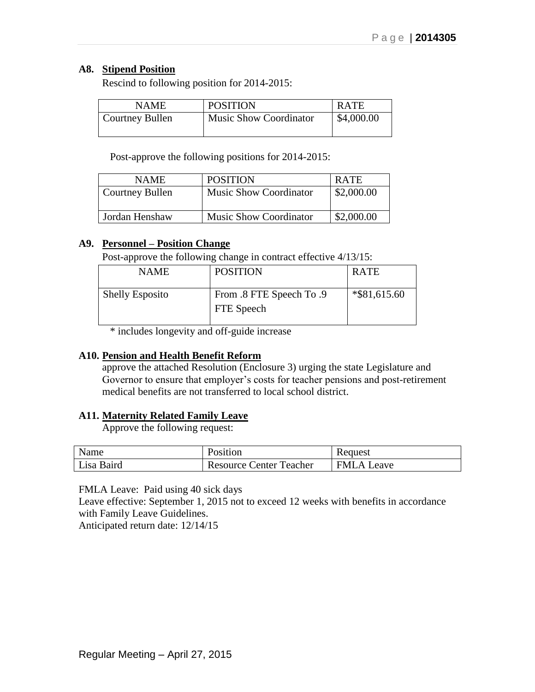## **A8. Stipend Position**

Rescind to following position for 2014-2015:

| <b>NAME</b>     | <b>POSITION</b>               | <b>RATE</b> |
|-----------------|-------------------------------|-------------|
| Courtney Bullen | <b>Music Show Coordinator</b> | \$4,000.00  |
|                 |                               |             |

Post-approve the following positions for 2014-2015:

| <b>NAME</b>     | <b>POSITION</b>               | <b>RATE</b> |
|-----------------|-------------------------------|-------------|
| Courtney Bullen | <b>Music Show Coordinator</b> | \$2,000.00  |
| Jordan Henshaw  | <b>Music Show Coordinator</b> | \$2,000.00  |

## **A9. Personnel – Position Change**

Post-approve the following change in contract effective 4/13/15:

| <b>NAME</b>            | <b>POSITION</b>                        | <b>RATE</b>     |
|------------------------|----------------------------------------|-----------------|
| <b>Shelly Esposito</b> | From .8 FTE Speech To .9<br>FTE Speech | $*$ \$81,615.60 |

\* includes longevity and off-guide increase

#### **A10. Pension and Health Benefit Reform**

approve the attached Resolution (Enclosure 3) urging the state Legislature and Governor to ensure that employer's costs for teacher pensions and post-retirement medical benefits are not transferred to local school district.

#### **A11. Maternity Related Family Leave**

Approve the following request:

| Name       | Position                       | Request           |
|------------|--------------------------------|-------------------|
| Lisa Baird | <b>Resource Center Teacher</b> | <b>FMLA Leave</b> |

FMLA Leave: Paid using 40 sick days

Leave effective: September 1, 2015 not to exceed 12 weeks with benefits in accordance with Family Leave Guidelines.

Anticipated return date: 12/14/15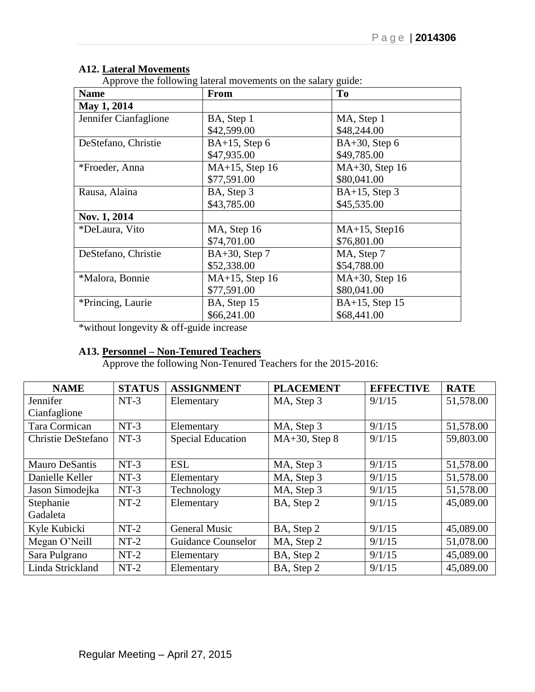# **A12. Lateral Movements**

Approve the following lateral movements on the salary guide:

| <b>Name</b>           | <b>From</b>       | T <sub>0</sub>    |
|-----------------------|-------------------|-------------------|
| May 1, 2014           |                   |                   |
| Jennifer Cianfaglione | BA, Step 1        | MA, Step 1        |
|                       | \$42,599.00       | \$48,244.00       |
| DeStefano, Christie   | $BA+15$ , Step 6  | $BA+30$ , Step 6  |
|                       | \$47,935.00       | \$49,785.00       |
| *Froeder, Anna        | $MA+15$ , Step 16 | MA+30, Step 16    |
|                       | \$77,591.00       | \$80,041.00       |
| Rausa, Alaina         | BA, Step 3        | $BA+15$ , Step 3  |
|                       | \$43,785.00       | \$45,535.00       |
| Nov. 1, 2014          |                   |                   |
| *DeLaura, Vito        | MA, Step 16       | $MA+15$ , Step16  |
|                       | \$74,701.00       | \$76,801.00       |
| DeStefano, Christie   | $BA+30$ , Step 7  | MA, Step 7        |
|                       | \$52,338.00       | \$54,788.00       |
| *Malora, Bonnie       | $MA+15$ , Step 16 | $MA+30$ , Step 16 |
|                       | \$77,591.00       | \$80,041.00       |
| *Princing, Laurie     | BA, Step 15       | $BA+15$ , Step 15 |
|                       | \$66,241.00       | \$68,441.00       |

\*without longevity & off-guide increase

#### **A13. Personnel – Non-Tenured Teachers**

Approve the following Non-Tenured Teachers for the 2015-2016:

| <b>NAME</b>           | <b>STATUS</b> | <b>ASSIGNMENT</b>         | <b>PLACEMENT</b> | <b>EFFECTIVE</b> | <b>RATE</b> |
|-----------------------|---------------|---------------------------|------------------|------------------|-------------|
| Jennifer              | $NT-3$        | Elementary                | MA, Step 3       | 9/1/15           | 51,578.00   |
| Cianfaglione          |               |                           |                  |                  |             |
| Tara Cormican         | $NT-3$        | Elementary                | MA, Step 3       | 9/1/15           | 51,578.00   |
| Christie DeStefano    | $NT-3$        | <b>Special Education</b>  | $MA+30$ , Step 8 | 9/1/15           | 59,803.00   |
|                       |               |                           |                  |                  |             |
| <b>Mauro DeSantis</b> | $NT-3$        | <b>ESL</b>                | MA, Step 3       | 9/1/15           | 51,578.00   |
| Danielle Keller       | $NT-3$        | Elementary                | MA, Step 3       | 9/1/15           | 51,578.00   |
| Jason Simodejka       | $NT-3$        | Technology                | MA, Step 3       | 9/1/15           | 51,578.00   |
| Stephanie             | $NT-2$        | Elementary                | BA, Step 2       | 9/1/15           | 45,089.00   |
| Gadaleta              |               |                           |                  |                  |             |
| Kyle Kubicki          | $NT-2$        | <b>General Music</b>      | BA, Step 2       | 9/1/15           | 45,089.00   |
| Megan O'Neill         | $NT-2$        | <b>Guidance Counselor</b> | MA, Step 2       | 9/1/15           | 51,078.00   |
| Sara Pulgrano         | $NT-2$        | Elementary                | BA, Step 2       | 9/1/15           | 45,089.00   |
| Linda Strickland      | $NT-2$        | Elementary                | BA, Step 2       | 9/1/15           | 45,089.00   |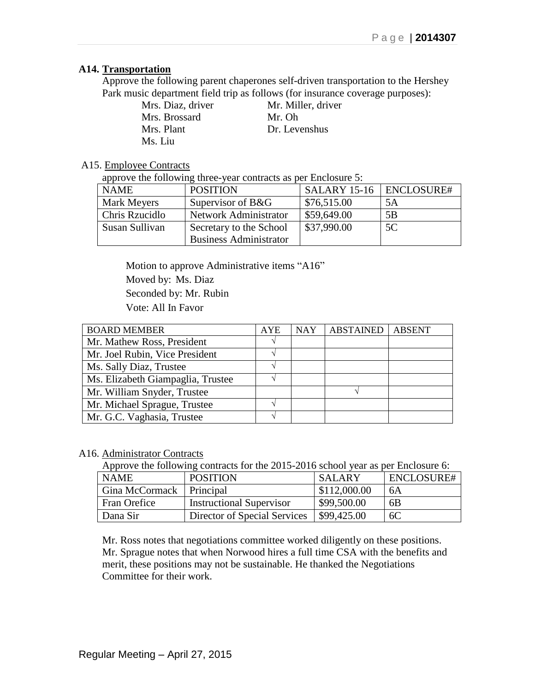### **A14. Transportation**

Approve the following parent chaperones self-driven transportation to the Hershey Park music department field trip as follows (for insurance coverage purposes):

> Mrs. Diaz, driver Mr. Miller, driver Mrs. Brossard Mr. Oh Mrs. Plant Dr. Levenshus Ms. Liu

## A15. Employee Contracts

approve the following three-year contracts as per Enclosure 5:

| <b>NAME</b>    | <b>POSITION</b>               | SALARY 15-16   ENCLOSURE# |    |
|----------------|-------------------------------|---------------------------|----|
| Mark Meyers    | Supervisor of B&G             | \$76,515.00               | 5A |
| Chris Rzucidlo | Network Administrator         | \$59,649.00               | 5B |
| Susan Sullivan | Secretary to the School       | \$37,990.00               | 5C |
|                | <b>Business Administrator</b> |                           |    |

Motion to approve Administrative items "A16" Moved by: Ms. Diaz Seconded by: Mr. Rubin

Vote: All In Favor

| <b>BOARD MEMBER</b>               | <b>AYE</b> | <b>NAY</b> | <b>ABSTAINED</b> | <b>ABSENT</b> |
|-----------------------------------|------------|------------|------------------|---------------|
| Mr. Mathew Ross, President        |            |            |                  |               |
| Mr. Joel Rubin, Vice President    |            |            |                  |               |
| Ms. Sally Diaz, Trustee           |            |            |                  |               |
| Ms. Elizabeth Giampaglia, Trustee |            |            |                  |               |
| Mr. William Snyder, Trustee       |            |            |                  |               |
| Mr. Michael Sprague, Trustee      |            |            |                  |               |
| Mr. G.C. Vaghasia, Trustee        |            |            |                  |               |

#### A16. Administrator Contracts

Approve the following contracts for the 2015-2016 school year as per Enclosure 6:

| <b>NAME</b>                | <b>POSITION</b>                 | <b>SALARY</b> | ENCLOSURE# |
|----------------------------|---------------------------------|---------------|------------|
| Gina McCormack   Principal |                                 | \$112,000.00  | 6A         |
| Fran Orefice               | <b>Instructional Supervisor</b> | \$99,500.00   | 6B         |
| Dana Sir                   | Director of Special Services    | \$99,425.00   | 6C         |

Mr. Ross notes that negotiations committee worked diligently on these positions. Mr. Sprague notes that when Norwood hires a full time CSA with the benefits and merit, these positions may not be sustainable. He thanked the Negotiations Committee for their work.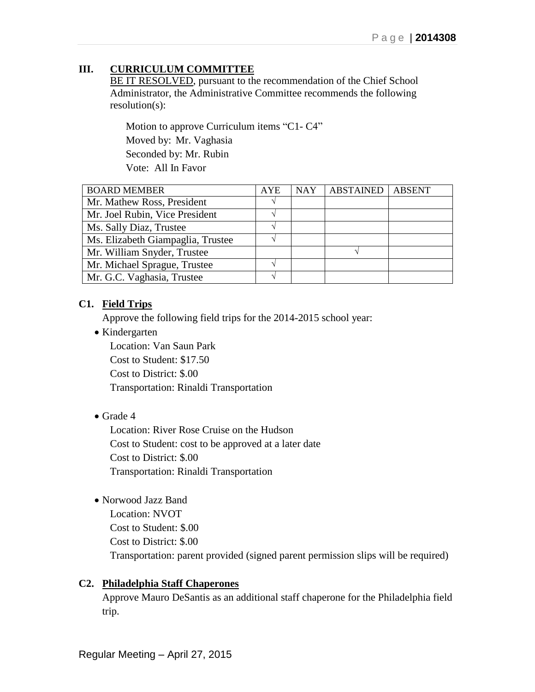# **III. CURRICULUM COMMITTEE**

BE IT RESOLVED, pursuant to the recommendation of the Chief School Administrator, the Administrative Committee recommends the following resolution(s):

Motion to approve Curriculum items "C1- C4" Moved by: Mr. Vaghasia Seconded by: Mr. Rubin Vote: All In Favor

| <b>BOARD MEMBER</b>               | <b>AYE</b> | <b>NAY</b> | <b>ABSTAINED</b> | <b>ABSENT</b> |
|-----------------------------------|------------|------------|------------------|---------------|
| Mr. Mathew Ross, President        |            |            |                  |               |
| Mr. Joel Rubin, Vice President    |            |            |                  |               |
| Ms. Sally Diaz, Trustee           |            |            |                  |               |
| Ms. Elizabeth Giampaglia, Trustee |            |            |                  |               |
| Mr. William Snyder, Trustee       |            |            |                  |               |
| Mr. Michael Sprague, Trustee      |            |            |                  |               |
| Mr. G.C. Vaghasia, Trustee        | ٦Ι         |            |                  |               |

## **C1. Field Trips**

Approve the following field trips for the 2014-2015 school year:

• Kindergarten

Location: Van Saun Park Cost to Student: \$17.50 Cost to District: \$.00 Transportation: Rinaldi Transportation

Grade 4

Location: River Rose Cruise on the Hudson Cost to Student: cost to be approved at a later date Cost to District: \$.00 Transportation: Rinaldi Transportation

Norwood Jazz Band

Location: NVOT Cost to Student: \$.00 Cost to District: \$.00 Transportation: parent provided (signed parent permission slips will be required)

## **C2. Philadelphia Staff Chaperones**

Approve Mauro DeSantis as an additional staff chaperone for the Philadelphia field trip.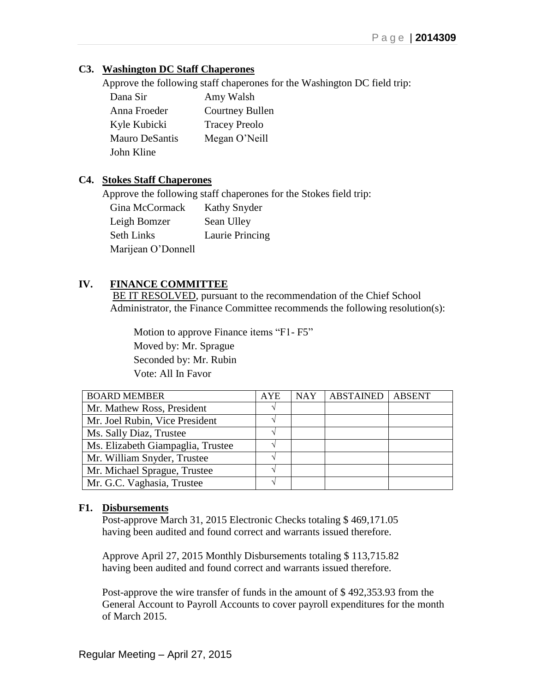## **C3. Washington DC Staff Chaperones**

Approve the following staff chaperones for the Washington DC field trip:

| Dana Sir              | Amy Walsh              |
|-----------------------|------------------------|
| Anna Froeder          | <b>Courtney Bullen</b> |
| Kyle Kubicki          | <b>Tracey Preolo</b>   |
| <b>Mauro DeSantis</b> | Megan O'Neill          |
| John Kline            |                        |

## **C4. Stokes Staff Chaperones**

Approve the following staff chaperones for the Stokes field trip:

| Gina McCormack     | Kathy Snyder    |
|--------------------|-----------------|
| Leigh Bomzer       | Sean Ulley      |
| <b>Seth Links</b>  | Laurie Princing |
| Marijean O'Donnell |                 |

# **IV. FINANCE COMMITTEE**

BE IT RESOLVED, pursuant to the recommendation of the Chief School Administrator, the Finance Committee recommends the following resolution(s):

 Motion to approve Finance items "F1- F5" Moved by: Mr. Sprague Seconded by: Mr. Rubin Vote: All In Favor

| <b>BOARD MEMBER</b>               | <b>AYE</b> | <b>NAY</b> | <b>ABSTAINED</b> | <b>ABSENT</b> |
|-----------------------------------|------------|------------|------------------|---------------|
| Mr. Mathew Ross, President        |            |            |                  |               |
| Mr. Joel Rubin, Vice President    |            |            |                  |               |
| Ms. Sally Diaz, Trustee           | V          |            |                  |               |
| Ms. Elizabeth Giampaglia, Trustee |            |            |                  |               |
| Mr. William Snyder, Trustee       |            |            |                  |               |
| Mr. Michael Sprague, Trustee      |            |            |                  |               |
| Mr. G.C. Vaghasia, Trustee        |            |            |                  |               |

## **F1. Disbursements**

Post-approve March 31, 2015 Electronic Checks totaling \$ 469,171.05 having been audited and found correct and warrants issued therefore.

Approve April 27, 2015 Monthly Disbursements totaling \$ 113,715.82 having been audited and found correct and warrants issued therefore.

Post-approve the wire transfer of funds in the amount of \$ 492,353.93 from the General Account to Payroll Accounts to cover payroll expenditures for the month of March 2015.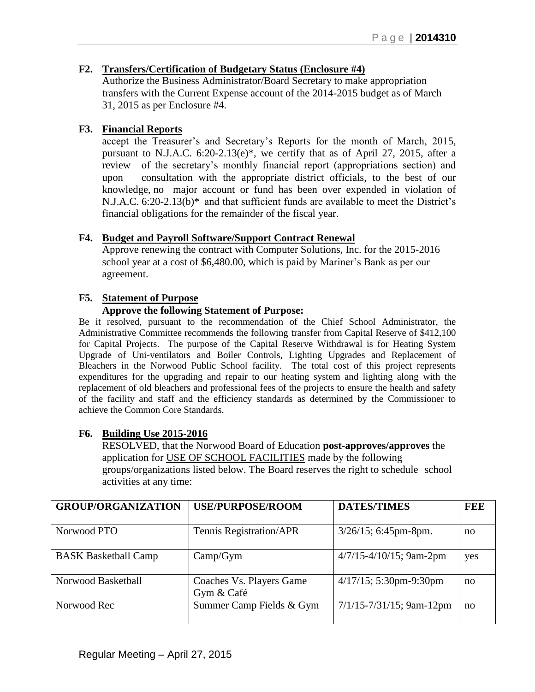## **F2. Transfers/Certification of Budgetary Status (Enclosure #4)**

Authorize the Business Administrator/Board Secretary to make appropriation transfers with the Current Expense account of the 2014-2015 budget as of March 31, 2015 as per Enclosure #4.

## **F3. Financial Reports**

accept the Treasurer's and Secretary's Reports for the month of March, 2015, pursuant to N.J.A.C. 6:20-2.13(e)\*, we certify that as of April 27, 2015, after a review of the secretary's monthly financial report (appropriations section) and upon consultation with the appropriate district officials, to the best of our knowledge, no major account or fund has been over expended in violation of N.J.A.C. 6:20-2.13(b)\* and that sufficient funds are available to meet the District's financial obligations for the remainder of the fiscal year.

#### **F4. Budget and Payroll Software/Support Contract Renewal**

Approve renewing the contract with Computer Solutions, Inc. for the 2015-2016 school year at a cost of \$6,480.00, which is paid by Mariner's Bank as per our agreement.

#### **F5. Statement of Purpose**

#### **Approve the following Statement of Purpose:**

Be it resolved, pursuant to the recommendation of the Chief School Administrator, the Administrative Committee recommends the following transfer from Capital Reserve of \$412,100 for Capital Projects. The purpose of the Capital Reserve Withdrawal is for Heating System Upgrade of Uni-ventilators and Boiler Controls, Lighting Upgrades and Replacement of Bleachers in the Norwood Public School facility. The total cost of this project represents expenditures for the upgrading and repair to our heating system and lighting along with the replacement of old bleachers and professional fees of the projects to ensure the health and safety of the facility and staff and the efficiency standards as determined by the Commissioner to achieve the Common Core Standards.

#### **F6. Building Use 2015-2016**

RESOLVED, that the Norwood Board of Education **post-approves/approves** the application for USE OF SCHOOL FACILITIES made by the following groups/organizations listed below. The Board reserves the right to schedule school activities at any time:

| <b>GROUP/ORGANIZATION</b>   | <b>USE/PURPOSE/ROOM</b>                | <b>DATES/TIMES</b>            | <b>FEE</b> |
|-----------------------------|----------------------------------------|-------------------------------|------------|
|                             |                                        |                               |            |
| Norwood PTO                 | Tennis Registration/APR                | $3/26/15$ ; 6:45pm-8pm.       | no         |
| <b>BASK Basketball Camp</b> | Camp/Gym                               | $4/7/15 - 4/10/15$ ; 9am-2pm  | yes        |
| Norwood Basketball          | Coaches Vs. Players Game<br>Gym & Café | $4/17/15$ ; 5:30pm-9:30pm     | no         |
| Norwood Rec                 | Summer Camp Fields & Gym               | $7/1/15 - 7/31/15$ ; 9am-12pm | no         |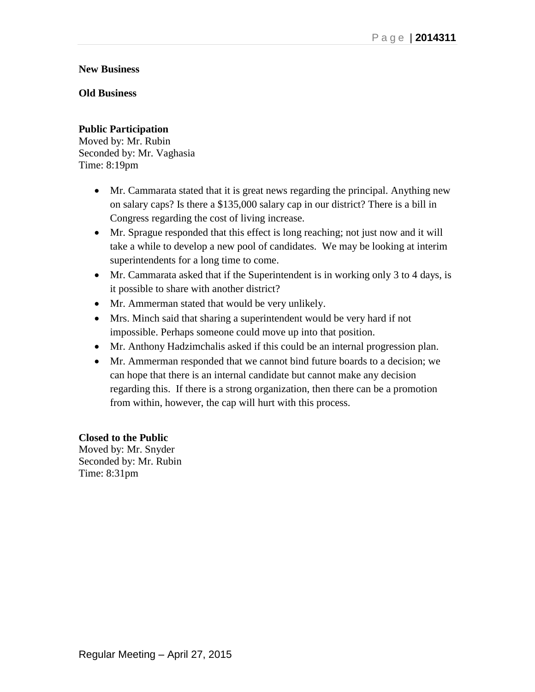## **New Business**

## **Old Business**

## **Public Participation**

Moved by: Mr. Rubin Seconded by: Mr. Vaghasia Time: 8:19pm

- Mr. Cammarata stated that it is great news regarding the principal. Anything new on salary caps? Is there a \$135,000 salary cap in our district? There is a bill in Congress regarding the cost of living increase.
- Mr. Sprague responded that this effect is long reaching; not just now and it will take a while to develop a new pool of candidates. We may be looking at interim superintendents for a long time to come.
- Mr. Cammarata asked that if the Superintendent is in working only 3 to 4 days, is it possible to share with another district?
- Mr. Ammerman stated that would be very unlikely.
- Mrs. Minch said that sharing a superintendent would be very hard if not impossible. Perhaps someone could move up into that position.
- Mr. Anthony Hadzimchalis asked if this could be an internal progression plan.
- Mr. Ammerman responded that we cannot bind future boards to a decision; we can hope that there is an internal candidate but cannot make any decision regarding this. If there is a strong organization, then there can be a promotion from within, however, the cap will hurt with this process.

#### **Closed to the Public**

Moved by: Mr. Snyder Seconded by: Mr. Rubin Time: 8:31pm